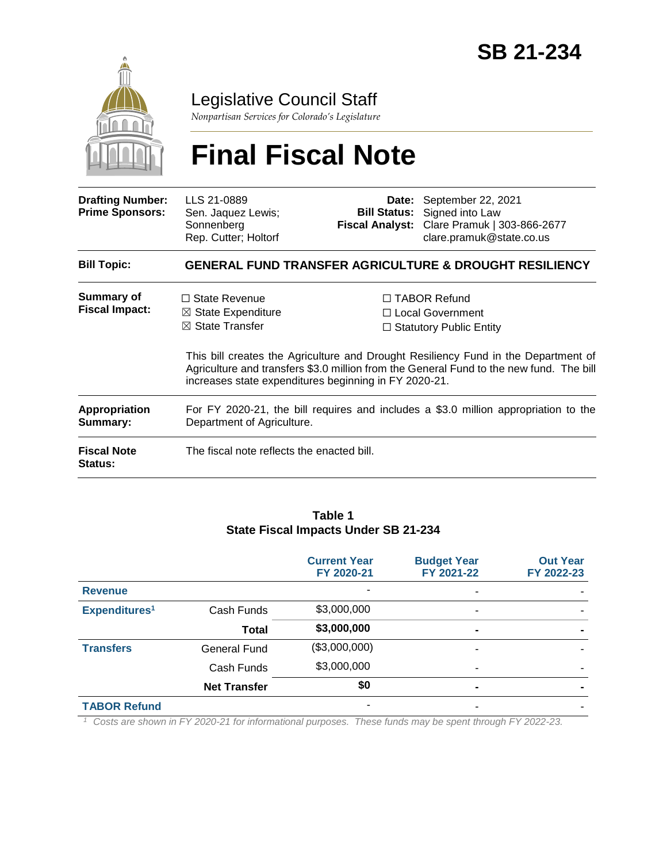

## Legislative Council Staff

*Nonpartisan Services for Colorado's Legislature*

# **Final Fiscal Note**

| <b>Drafting Number:</b><br><b>Prime Sponsors:</b>                        | LLS 21-0889<br>Sen. Jaquez Lewis;<br>Sonnenberg<br>Rep. Cutter; Holtorf                                                                                                                                                                                                                                                                             |  | Date: September 22, 2021<br><b>Bill Status:</b> Signed into Law<br>Fiscal Analyst: Clare Pramuk   303-866-2677<br>clare.pramuk@state.co.us |  |  |  |
|--------------------------------------------------------------------------|-----------------------------------------------------------------------------------------------------------------------------------------------------------------------------------------------------------------------------------------------------------------------------------------------------------------------------------------------------|--|--------------------------------------------------------------------------------------------------------------------------------------------|--|--|--|
| <b>Bill Topic:</b>                                                       | <b>GENERAL FUND TRANSFER AGRICULTURE &amp; DROUGHT RESILIENCY</b>                                                                                                                                                                                                                                                                                   |  |                                                                                                                                            |  |  |  |
| Summary of<br><b>Fiscal Impact:</b>                                      | $\Box$ State Revenue<br>$\Box$ TABOR Refund<br>$\boxtimes$ State Expenditure<br>□ Local Government<br>$\boxtimes$ State Transfer<br>$\Box$ Statutory Public Entity<br>This bill creates the Agriculture and Drought Resiliency Fund in the Department of<br>Agriculture and transfers \$3.0 million from the General Fund to the new fund. The bill |  |                                                                                                                                            |  |  |  |
| <b>Appropriation</b><br>Summary:<br><b>Fiscal Note</b><br><b>Status:</b> | increases state expenditures beginning in FY 2020-21.<br>For FY 2020-21, the bill requires and includes a \$3.0 million appropriation to the<br>Department of Agriculture.<br>The fiscal note reflects the enacted bill.                                                                                                                            |  |                                                                                                                                            |  |  |  |

#### **Table 1 State Fiscal Impacts Under SB 21-234**

|                           |                     | <b>Current Year</b><br>FY 2020-21 | <b>Budget Year</b><br>FY 2021-22                                                                                                                                                                                                                                               | <b>Out Year</b><br>FY 2022-23 |
|---------------------------|---------------------|-----------------------------------|--------------------------------------------------------------------------------------------------------------------------------------------------------------------------------------------------------------------------------------------------------------------------------|-------------------------------|
| <b>Revenue</b>            |                     |                                   | $\overline{\phantom{a}}$                                                                                                                                                                                                                                                       |                               |
| Expenditures <sup>1</sup> | Cash Funds          | \$3,000,000                       | $\overline{\phantom{a}}$                                                                                                                                                                                                                                                       |                               |
|                           | Total               | \$3,000,000                       | $\blacksquare$                                                                                                                                                                                                                                                                 |                               |
| <b>Transfers</b>          | General Fund        | (\$3,000,000)                     | ۰                                                                                                                                                                                                                                                                              |                               |
|                           | Cash Funds          | \$3,000,000                       | $\overline{\phantom{a}}$                                                                                                                                                                                                                                                       |                               |
|                           | <b>Net Transfer</b> | \$0                               | $\blacksquare$                                                                                                                                                                                                                                                                 |                               |
| <b>TABOR Refund</b>       |                     | ۰                                 | ٠                                                                                                                                                                                                                                                                              |                               |
|                           |                     |                                   | $\tau$ ( $\tau$ ) ( $\tau$ ) ( $\tau$ ) ( $\tau$ ) ( $\tau$ ) ( $\tau$ ) ( $\tau$ ) ( $\tau$ ) ( $\tau$ ) ( $\tau$ ) ( $\tau$ ) ( $\tau$ ) ( $\tau$ ) ( $\tau$ ) ( $\tau$ ) ( $\tau$ ) ( $\tau$ ) ( $\tau$ ) ( $\tau$ ) ( $\tau$ ) ( $\tau$ ) ( $\tau$ ) ( $\tau$ ) ( $\tau$ ) |                               |

*<sup>1</sup> Costs are shown in FY 2020-21 for informational purposes. These funds may be spent through FY 2022-23.*